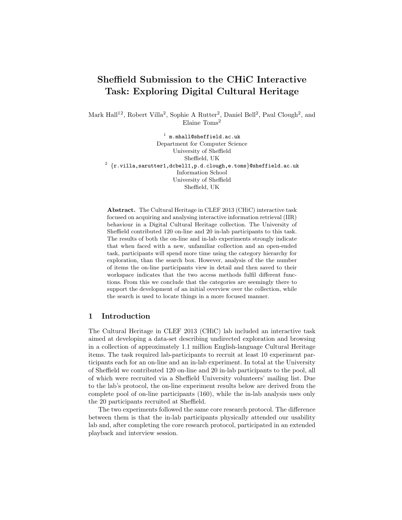# Sheffield Submission to the CHiC Interactive Task: Exploring Digital Cultural Heritage

Mark Hall<sup>12</sup>, Robert Villa<sup>2</sup>, Sophie A Rutter<sup>2</sup>, Daniel Bell<sup>2</sup>, Paul Clough<sup>2</sup>, and Elaine Toms<sup>2</sup>

 $^1$  m.mhall@sheffield.ac.uk Department for Computer Science University of Sheffield Sheffield, UK  $^2$   $\{ {\rm r.villa,} {\rm sarrutter1,} {\rm dcbell1,} {\rm p.d.c}$ lough,e.toms $\}$ @sheffield.ac.uk Information School University of Sheffield Sheffield, UK

Abstract. The Cultural Heritage in CLEF 2013 (CHiC) interactive task focused on acquiring and analysing interactive information retrieval (IIR) behaviour in a Digital Cultural Heritage collection. The University of Sheffield contributed 120 on-line and 20 in-lab participants to this task. The results of both the on-line and in-lab experiments strongly indicate that when faced with a new, unfamiliar collection and an open-ended task, participants will spend more time using the category hierarchy for exploration, than the search box. However, analysis of the the number of items the on-line participants view in detail and then saved to their workspace indicates that the two access methods fulfil different functions. From this we conclude that the categories are seemingly there to support the development of an initial overview over the collection, while the search is used to locate things in a more focused manner.

## 1 Introduction

The Cultural Heritage in CLEF 2013 (CHiC) lab included an interactive task aimed at developing a data-set describing undirected exploration and browsing in a collection of approximately 1.1 million English-language Cultural Heritage items. The task required lab-participants to recruit at least 10 experiment participants each for an on-line and an in-lab experiment. In total at the University of Sheffield we contributed 120 on-line and 20 in-lab participants to the pool, all of which were recruited via a Sheffield University volunteers' mailing list. Due to the lab's protocol, the on-line experiment results below are derived from the complete pool of on-line participants (160), while the in-lab analysis uses only the 20 participants recruited at Sheffield.

The two experiments followed the same core research protocol. The difference between them is that the in-lab participants physically attended our usability lab and, after completing the core research protocol, participated in an extended playback and interview session.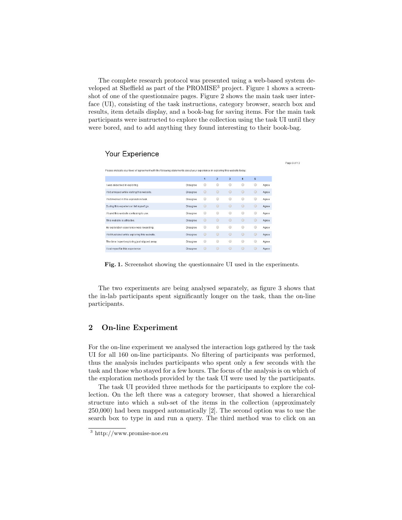The complete research protocol was presented using a web-based system developed at Sheffield as part of the PROMISE<sup>3</sup> project. Figure 1 shows a screenshot of one of the questionnaire pages. Figure 2 shows the main task user interface (UI), consisting of the task instructions, category browser, search box and results, item details display, and a book-bag for saving items. For the main task participants were isntructed to explore the collection using the task UI until they were bored, and to add anything they found interesting to their book-bag.

Page 9 of 13

# Your Experience

| Please indicate your level of agreement with the following statements about your experience in exploring this website today: |                 |                |                |                         |                |            |       |
|------------------------------------------------------------------------------------------------------------------------------|-----------------|----------------|----------------|-------------------------|----------------|------------|-------|
|                                                                                                                              |                 | $\overline{1}$ | $\overline{2}$ | $\overline{\mathbf{3}}$ | $\overline{4}$ | 5          |       |
| I was absorbed in exploring.                                                                                                 | <b>Disagree</b> | ⊙              | $\circ$        | O                       | ⊙              | ⊙          | Agree |
| I felt annoyed while visiting this website.                                                                                  | Disagree        | $\circ$        | $\bigcirc$     | $\circ$                 | $\circ$        | $\circ$    | Agree |
| I felt involved in this exploration task.                                                                                    | Disagree        | ⊙              | $\odot$        | $\circ$                 | $\circ$        | 0          | Agree |
| During this experience I let myself go.                                                                                      | <b>Disagree</b> | $\bigcirc$     | $\circ$        | $\circ$                 | $\bigcirc$     | $\circ$    | Agree |
| I found this website confusing to use.                                                                                       | Disagree        | ⊙              | $\circ$        | $\circ$                 | ⊙              | ∩          | Agree |
| This website is attractive                                                                                                   | Disagree        | $\circ$        | $\circ$        | $\circ$                 | $\bigcirc$     | $\bigcirc$ | Agree |
| My exploration experience was rewarding.                                                                                     | <b>Disagree</b> | ⊙              | $\circ$        | $\circ$                 | $\bigcirc$     | $\bigcirc$ | Agree |
| I felt frustrated while exploring this website.                                                                              | <b>Disagree</b> | $\circ$        | $\circ$        | $\circ$                 | $\circ$        | $\circ$    | Agree |
| The time I spent exploring just slipped away.                                                                                | Disagree        | $\bigcirc$     | $\odot$        | $\odot$                 | $\circ$        | $\bigcirc$ | Agree |
| I lost myself in this experience                                                                                             | <b>Disagree</b> | $\bigcirc$     | $\bigcirc$     | $\bigcirc$              | ∩              | $\bigcirc$ | Agree |

Fig. 1. Screenshot showing the questionnaire UI used in the experiments.

The two experiments are being analysed separately, as figure 3 shows that the in-lab participants spent significantly longer on the task, than the on-line participants.

# 2 On-line Experiment

For the on-line experiment we analysed the interaction logs gathered by the task UI for all 160 on-line participants. No filtering of participants was performed, thus the analysis includes participants who spent only a few seconds with the task and those who stayed for a few hours. The focus of the analysis is on which of the exploration methods provided by the task UI were used by the participants.

The task UI provided three methods for the participants to explore the collection. On the left there was a category browser, that showed a hierarchical structure into which a sub-set of the items in the collection (approximately 250,000) had been mapped automatically [2]. The second option was to use the search box to type in and run a query. The third method was to click on an

<sup>3</sup> http://www.promise-noe.eu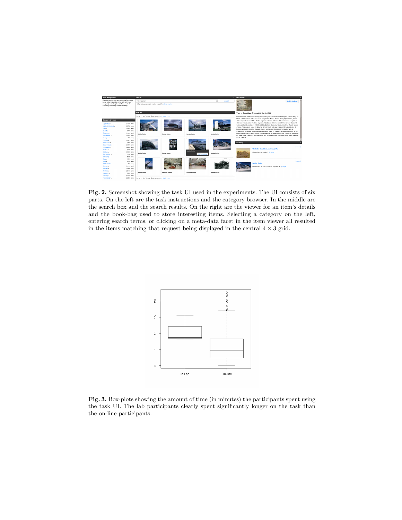

Fig. 2. Screenshot showing the task UI used in the experiments. The UI consists of six parts. On the left are the task instructions and the category browser. In the middle are the search box and the search results. On the right are the viewer for an item's details and the book-bag used to store interesting items. Selecting a category on the left, entering search terms, or clicking on a meta-data facet in the item viewer all resulted in the items matching that request being displayed in the central  $4 \times 3$  grid.



Fig. 3. Box-plots showing the amount of time (in minutes) the participants spent using the task UI. The lab participants clearly spent significantly longer on the task than the on-line participants.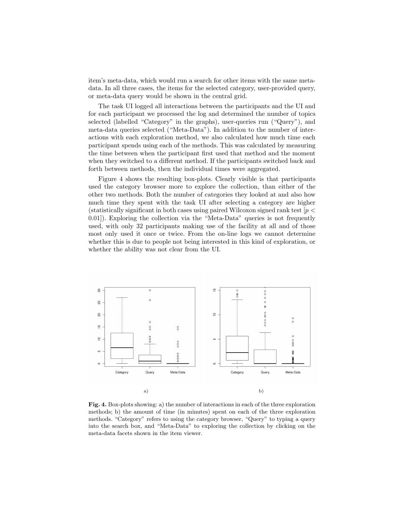item's meta-data, which would run a search for other items with the same metadata. In all three cases, the items for the selected category, user-provided query, or meta-data query would be shown in the central grid.

The task UI logged all interactions between the participants and the UI and for each participant we processed the log and determined the number of topics selected (labelled "Category" in the graphs), user-queries run ("Query"), and meta-data queries selected ("Meta-Data"). In addition to the number of interactions with each exploration method, we also calculated how much time each participant spends using each of the methods. This was calculated by measuring the time between when the participant first used that method and the moment when they switched to a different method. If the participants switched back and forth between methods, then the individual times were aggregated.

Figure 4 shows the resulting box-plots. Clearly visible is that participants used the category browser more to explore the collection, than either of the other two methods. Both the number of categories they looked at and also how much time they spent with the task UI after selecting a category are higher (statistically significant in both cases using paired Wilcoxon signed rank test  $[p \lt q]$ 0.01]). Exploring the collection via the "Meta-Data" queries is not frequently used, with only 32 participants making use of the facility at all and of those most only used it once or twice. From the on-line logs we cannot determine whether this is due to people not being interested in this kind of exploration, or whether the ability was not clear from the UI.



Fig. 4. Box-plots showing: a) the number of interactions in each of the three exploration methods; b) the amount of time (in minutes) spent on each of the three exploration methods. "Category" refers to using the category browser, "Query" to typing a query into the search box, and "Meta-Data" to exploring the collection by clicking on the meta-data facets shown in the item viewer.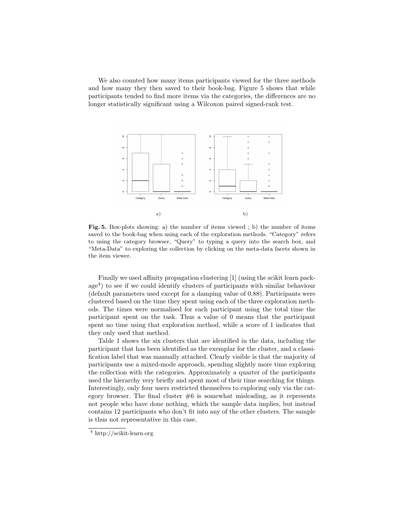We also counted how many items participants viewed for the three methods and how many they then saved to their book-bag. Figure 5 shows that while participants tended to find more items via the categories, the differences are no longer statistically significant using a Wilcoxon paired signed-rank test.



Fig. 5. Box-plots showing: a) the number of items viewed ; b) the number of items saved to the book-bag when using each of the exploration methods. "Category" refers to using the category browser, "Query" to typing a query into the search box, and "Meta-Data" to exploring the collection by clicking on the meta-data facets shown in the item viewer.

Finally we used affinity propagation clustering [1] (using the scikit learn package<sup>4</sup> ) to see if we could identify clusters of participants with similar behaviour (default parameters used except for a damping value of 0.88). Participants were clustered based on the time they spent using each of the three exploration methods. The times were normalised for each participant using the total time the participant spent on the task. Thus a value of 0 means that the participant spent no time using that exploration method, while a score of 1 indicates that they only used that method.

Table 1 shows the six clusters that are identified in the data, including the participant that has been identified as the exemplar for the cluster, and a classification label that was manually attached. Clearly visible is that the majority of participants use a mixed-mode approach, spending slightly more time exploring the collection with the categories. Approximately a quarter of the participants used the hierarchy very briefly and spent most of their time searching for things. Interestingly, only four users restricted themselves to exploring only via the category browser. The final cluster  $#6$  is somewhat misleading, as it represents not people who have done nothing, which the sample data implies, but instead contains 12 participants who don't fit into any of the other clusters. The sample is thus not representative in this case.

<sup>4</sup> http://scikit-learn.org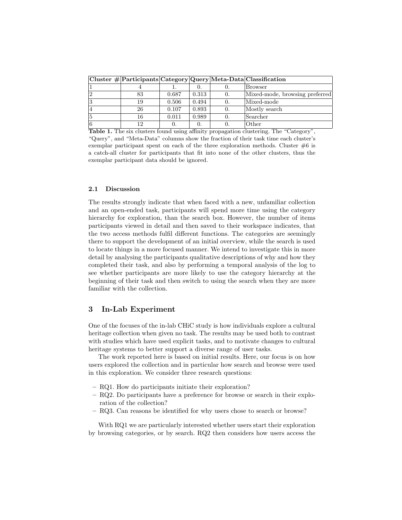|    |    |       |       |          | Cluster # Participants Category Query Meta-Data Classification |
|----|----|-------|-------|----------|----------------------------------------------------------------|
|    |    |       |       |          | <b>Browser</b>                                                 |
| 2  | 83 | 0.687 | 0.313 |          | Mixed-mode, browsing preferred                                 |
| 3  | 19 | 0.506 | 0.494 |          | Mixed-mode                                                     |
| 14 | 26 | 0.107 | 0.893 | $\Omega$ | Mostly search                                                  |
| 5  | 16 | 0.011 | 0.989 |          | Searcher                                                       |
| 16 | 12 |       |       |          | Other                                                          |

Table 1. The six clusters found using affinity propagation clustering. The "Category", "Query", and "Meta-Data" columns show the fraction of their task time each cluster's exemplar participant spent on each of the three exploration methods. Cluster  $\#6$  is a catch-all cluster for participants that fit into none of the other clusters, thus the exemplar participant data should be ignored.

#### 2.1 Discussion

The results strongly indicate that when faced with a new, unfamiliar collection and an open-ended task, participants will spend more time using the category hierarchy for exploration, than the search box. However, the number of items participants viewed in detail and then saved to their workspace indicates, that the two access methods fulfil different functions. The categories are seemingly there to support the development of an initial overview, while the search is used to locate things in a more focused manner. We intend to investigate this in more detail by analysing the participants qualitative descriptions of why and how they completed their task, and also by performing a temporal analysis of the log to see whether participants are more likely to use the category hierarchy at the beginning of their task and then switch to using the search when they are more familiar with the collection.

## 3 In-Lab Experiment

One of the focuses of the in-lab CHiC study is how individuals explore a cultural heritage collection when given no task. The results may be used both to contrast with studies which have used explicit tasks, and to motivate changes to cultural heritage systems to better support a diverse range of user tasks.

The work reported here is based on initial results. Here, our focus is on how users explored the collection and in particular how search and browse were used in this exploration. We consider three research questions:

- RQ1. How do participants initiate their exploration?
- RQ2. Do participants have a preference for browse or search in their exploration of the collection?
- RQ3. Can reasons be identified for why users chose to search or browse?

With RQ1 we are particularly interested whether users start their exploration by browsing categories, or by search. RQ2 then considers how users access the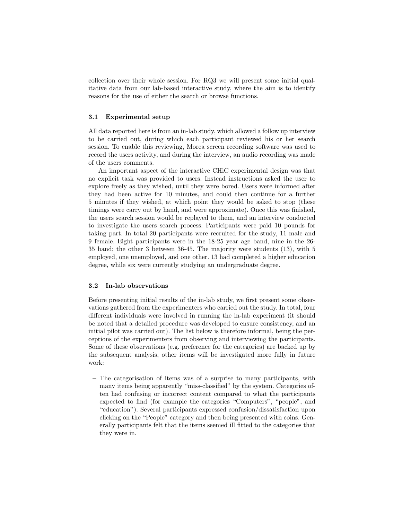collection over their whole session. For RQ3 we will present some initial qualitative data from our lab-based interactive study, where the aim is to identify reasons for the use of either the search or browse functions.

#### 3.1 Experimental setup

All data reported here is from an in-lab study, which allowed a follow up interview to be carried out, during which each participant reviewed his or her search session. To enable this reviewing, Morea screen recording software was used to record the users activity, and during the interview, an audio recording was made of the users comments.

An important aspect of the interactive CHiC experimental design was that no explicit task was provided to users. Instead instructions asked the user to explore freely as they wished, until they were bored. Users were informed after they had been active for 10 minutes, and could then continue for a further 5 minutes if they wished, at which point they would be asked to stop (these timings were carry out by hand, and were approximate). Once this was finished, the users search session would be replayed to them, and an interview conducted to investigate the users search process. Participants were paid 10 pounds for taking part. In total 20 participants were recruited for the study, 11 male and 9 female. Eight participants were in the 18-25 year age band, nine in the 26- 35 band; the other 3 between 36-45. The majority were students (13), with 5 employed, one unemployed, and one other. 13 had completed a higher education degree, while six were currently studying an undergraduate degree.

#### 3.2 In-lab observations

Before presenting initial results of the in-lab study, we first present some observations gathered from the experimenters who carried out the study. In total, four different individuals were involved in running the in-lab experiment (it should be noted that a detailed procedure was developed to ensure consistency, and an initial pilot was carried out). The list below is therefore informal, being the perceptions of the experimenters from observing and interviewing the participants. Some of these observations (e.g. preference for the categories) are backed up by the subsequent analysis, other items will be investigated more fully in future work:

– The categorisation of items was of a surprise to many participants, with many items being apparently "miss-classified" by the system. Categories often had confusing or incorrect content compared to what the participants expected to find (for example the categories "Computers", "people", and "education"). Several participants expressed confusion/dissatisfaction upon clicking on the "People" category and then being presented with coins. Generally participants felt that the items seemed ill fitted to the categories that they were in.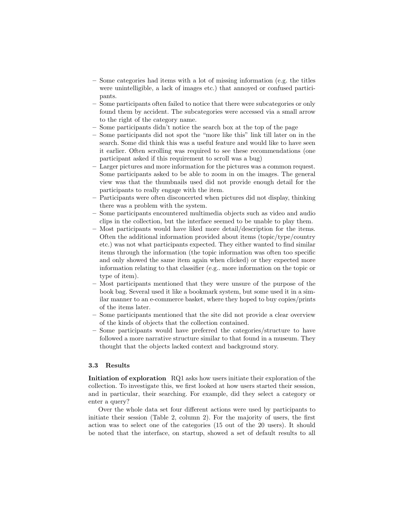- Some categories had items with a lot of missing information (e.g. the titles were unintelligible, a lack of images etc.) that annoyed or confused participants.
- Some participants often failed to notice that there were subcategories or only found them by accident. The subcategories were accessed via a small arrow to the right of the category name.
- Some participants didn't notice the search box at the top of the page
- Some participants did not spot the "more like this" link till later on in the search. Some did think this was a useful feature and would like to have seen it earlier. Often scrolling was required to see these recommendations (one participant asked if this requirement to scroll was a bug)
- Larger pictures and more information for the pictures was a common request. Some participants asked to be able to zoom in on the images. The general view was that the thumbnails used did not provide enough detail for the participants to really engage with the item.
- Participants were often disconcerted when pictures did not display, thinking there was a problem with the system.
- Some participants encountered multimedia objects such as video and audio clips in the collection, but the interface seemed to be unable to play them.
- Most participants would have liked more detail/description for the items. Often the additional information provided about items (topic/type/country etc.) was not what participants expected. They either wanted to find similar items through the information (the topic information was often too specific and only showed the same item again when clicked) or they expected more information relating to that classifier (e.g.. more information on the topic or type of item).
- Most participants mentioned that they were unsure of the purpose of the book bag. Several used it like a bookmark system, but some used it in a similar manner to an e-commerce basket, where they hoped to buy copies/prints of the items later.
- Some participants mentioned that the site did not provide a clear overview of the kinds of objects that the collection contained.
- Some participants would have preferred the categories/structure to have followed a more narrative structure similar to that found in a museum. They thought that the objects lacked context and background story.

#### 3.3 Results

Initiation of exploration RQ1 asks how users initiate their exploration of the collection. To investigate this, we first looked at how users started their session, and in particular, their searching. For example, did they select a category or enter a query?

Over the whole data set four different actions were used by participants to initiate their session (Table 2, column 2). For the majority of users, the first action was to select one of the categories (15 out of the 20 users). It should be noted that the interface, on startup, showed a set of default results to all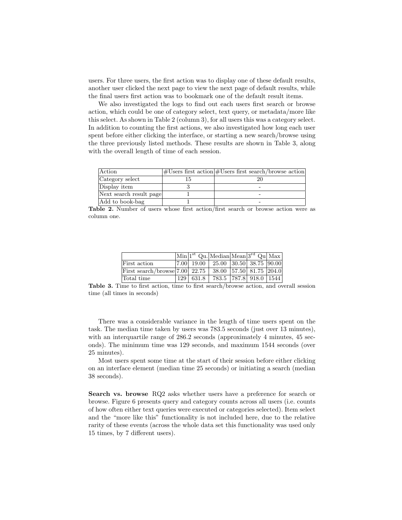users. For three users, the first action was to display one of these default results, another user clicked the next page to view the next page of default results, while the final users first action was to bookmark one of the default result items.

We also investigated the logs to find out each users first search or browse action, which could be one of category select, text query, or metadata/more like this select. As shown in Table 2 (column 3), for all users this was a category select. In addition to counting the first actions, we also investigated how long each user spent before either clicking the interface, or starting a new search/browse using the three previously listed methods. These results are shown in Table 3, along with the overall length of time of each session.

| Action                  | $ \text{\#Users first action} $ #Users first search/browse action |
|-------------------------|-------------------------------------------------------------------|
| Category select         |                                                                   |
| Display item            |                                                                   |
| Next search result page |                                                                   |
| Add to book-bag         |                                                                   |

Table 2. Number of users whose first action/first search or browse action were as column one.

|                                                        |  | $\vert$ Min $\vert$ <sup>1st</sup> Qu. Median Mean $\vert$ <sup>3rd</sup> Qu $\vert$ Max $\vert$ |  |  |
|--------------------------------------------------------|--|--------------------------------------------------------------------------------------------------|--|--|
| First action                                           |  | $ 7.00 $ 19.00 $ 25.00 $ 30.50 38.75 $ 90.00 $                                                   |  |  |
| First search/browse 7.00 22.75 38.00 57.50 81.75 204.0 |  |                                                                                                  |  |  |
| Total time                                             |  | $129 \mid 631.8 \mid 783.5 \mid 787.8 \mid 918.0 \mid 1544 \mid$                                 |  |  |

Table 3. Time to first action, time to first search/browse action, and overall session time (all times in seconds)

There was a considerable variance in the length of time users spent on the task. The median time taken by users was 783.5 seconds (just over 13 minutes), with an interquartile range of 286.2 seconds (approximately 4 minutes, 45 seconds). The minimum time was 129 seconds, and maximum 1544 seconds (over 25 minutes).

Most users spent some time at the start of their session before either clicking on an interface element (median time 25 seconds) or initiating a search (median 38 seconds).

Search vs. browse RQ2 asks whether users have a preference for search or browse. Figure 6 presents query and category counts across all users (i.e. counts of how often either text queries were executed or categories selected). Item select and the "more like this" functionality is not included here, due to the relative rarity of these events (across the whole data set this functionality was used only 15 times, by 7 different users).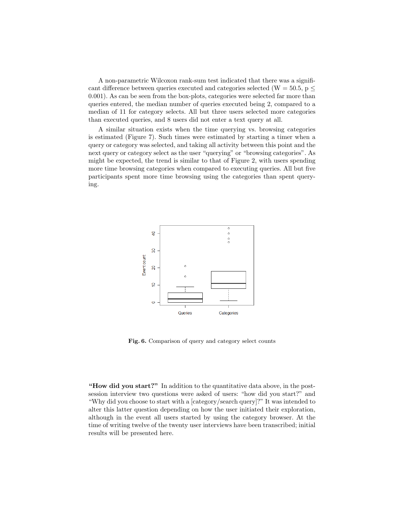A non-parametric Wilcoxon rank-sum test indicated that there was a significant difference between queries executed and categories selected (W = 50.5, p  $\leq$ 0.001). As can be seen from the box-plots, categories were selected far more than queries entered, the median number of queries executed being 2, compared to a median of 11 for category selects. All but three users selected more categories than executed queries, and 8 users did not enter a text query at all.

A similar situation exists when the time querying vs. browsing categories is estimated (Figure 7). Such times were estimated by starting a timer when a query or category was selected, and taking all activity between this point and the next query or category select as the user "querying" or "browsing categories". As might be expected, the trend is similar to that of Figure 2, with users spending more time browsing categories when compared to executing queries. All but five participants spent more time browsing using the categories than spent querying.



Fig. 6. Comparison of query and category select counts

"How did you start?" In addition to the quantitative data above, in the postsession interview two questions were asked of users: "how did you start?" and "Why did you choose to start with a [category/search query]?" It was intended to alter this latter question depending on how the user initiated their exploration, although in the event all users started by using the category browser. At the time of writing twelve of the twenty user interviews have been transcribed; initial results will be presented here.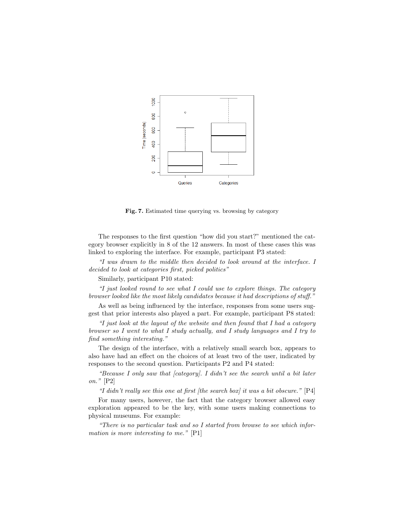

Fig. 7. Estimated time querying vs. browsing by category

The responses to the first question "how did you start?" mentioned the category browser explicitly in 8 of the 12 answers. In most of these cases this was linked to exploring the interface. For example, participant P3 stated:

"I was drawn to the middle then decided to look around at the interface. I decided to look at categories first, picked politics"

Similarly, participant P10 stated:

"I just looked round to see what I could use to explore things. The category browser looked like the most likely candidates because it had descriptions of stuff."

As well as being influenced by the interface, responses from some users suggest that prior interests also played a part. For example, participant P8 stated:

"I just look at the layout of the website and then found that I had a category browser so I went to what I study actually, and I study languages and I try to find something interesting."

The design of the interface, with a relatively small search box, appears to also have had an effect on the choices of at least two of the user, indicated by responses to the second question. Participants P2 and P4 stated:

"Because I only saw that [category]. I didn't see the search until a bit later on." [P2]

"I didn't really see this one at first (the search box) it was a bit obscure."  $[P4]$ 

For many users, however, the fact that the category browser allowed easy exploration appeared to be the key, with some users making connections to physical museums. For example:

"There is no particular task and so I started from browse to see which information is more interesting to me." [P1]